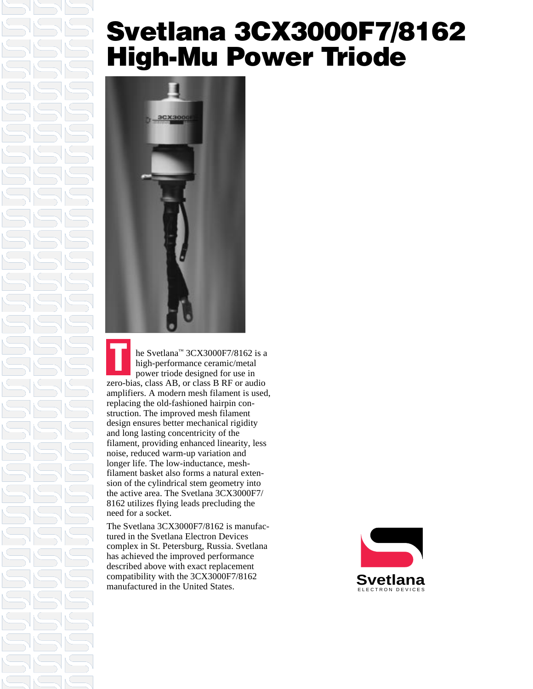### **Svetlana 3CX3000F7/8162 High-Mu Power Triode**



he Svetlana™ 3CX3000F7/8162 is a high-performance ceramic/metal power triode designed for use in zero-bias, class AB, or class B RF or audio amplifiers. A modern mesh filament is used, replacing the old-fashioned hairpin construction. The improved mesh filament design ensures better mechanical rigidity and long lasting concentricity of the filament, providing enhanced linearity, less noise, reduced warm-up variation and longer life. The low-inductance, meshfilament basket also forms a natural extension of the cylindrical stem geometry into the active area. The Svetlana 3CX3000F7/ 8162 utilizes flying leads precluding the need for a socket. **T**

The Svetlana 3CX3000F7/8162 is manufactured in the Svetlana Electron Devices complex in St. Petersburg, Russia. Svetlana has achieved the improved performance described above with exact replacement compatibility with the 3CX3000F7/8162 manufactured in the United States.

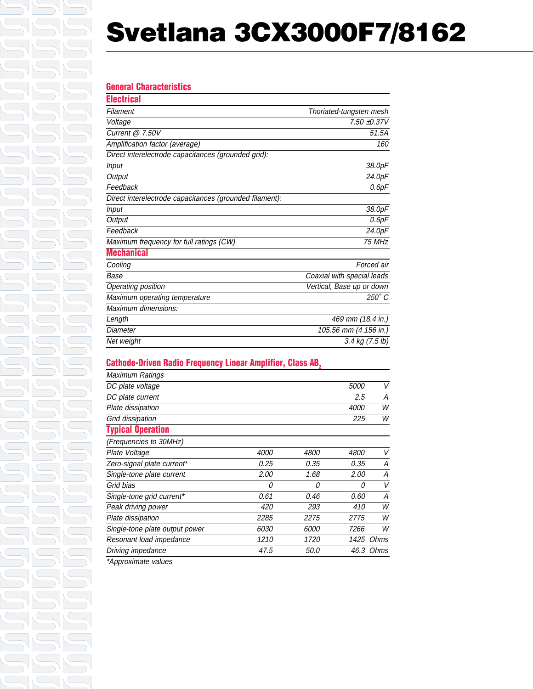# **Svetlana 3CX3000F7/8162**

#### **General Characteristics**

| Electrical                                              |                            |
|---------------------------------------------------------|----------------------------|
| Filament                                                | Thoriated-tungsten mesh    |
| Voltage                                                 | $7.50 + 0.37V$             |
| Current @ 7.50V                                         | 51.5A                      |
| Amplification factor (average)                          | 160                        |
| Direct interelectrode capacitances (grounded grid):     |                            |
| <b>Input</b>                                            | 38.0pF                     |
| Output                                                  | 24.0pF                     |
| Feedback                                                | 0.6pF                      |
| Direct interelectrode capacitances (grounded filament): |                            |
| <b>Input</b>                                            | 38.0pF                     |
| Output                                                  | 0.6pF                      |
| Feedback                                                | 24.0pF                     |
| Maximum frequency for full ratings (CW)                 | 75 MHz                     |
| <b>Mechanical</b>                                       |                            |
| Cooling                                                 | Forced air                 |
| Base                                                    | Coaxial with special leads |
| Operating position                                      | Vertical, Base up or down  |
| Maximum operating temperature                           | 250° C                     |
| Maximum dimensions:                                     |                            |
| Length                                                  | 469 mm (18.4 in.)          |
| Diameter                                                | 105.56 mm (4.156 in.)      |
| Net weight                                              | 3.4 kg (7.5 lb)            |

### **Cathode-Driven Radio Frequency Linear Amplifier, Class AB,**

| Maximum Ratings                |             |             |             |           |
|--------------------------------|-------------|-------------|-------------|-----------|
| DC plate voltage               |             |             | <i>5000</i> | V         |
| DC plate current               |             |             | 2.5         | А         |
| Plate dissipation              |             |             | <i>4000</i> | W         |
| Grid dissipation               |             |             | 225         | W         |
| <b>Typical Operation</b>       |             |             |             |           |
| (Frequencies to 30MHz)         |             |             |             |           |
| Plate Voltage                  | <i>4000</i> | <i>4800</i> | <i>4800</i> | V         |
| Zero-signal plate current*     | 0.25        | 0.35        | 0.35        | А         |
| Single-tone plate current      | 2.00        | 1.68        | 2.00        | А         |
| Grid bias                      | 0           | 0           | 0           | V         |
| Single-tone grid current*      | 0.61        | 0.46        | 0.60        | Α         |
| Peak driving power             | 420         | 293         | 410         | W         |
| Plate dissipation              | 2285        | 2275        | 2775        | W         |
| Single-tone plate output power | <i>6030</i> | <i>6000</i> | 7266        | W         |
| Resonant load impedance        | 1210        | 1720        | 1425        | Ohms      |
| Driving impedance              | 47.5        | 50.0        |             | 46.3 Ohms |
| $\mathbf{a}$                   |             |             |             |           |

\*Approximate values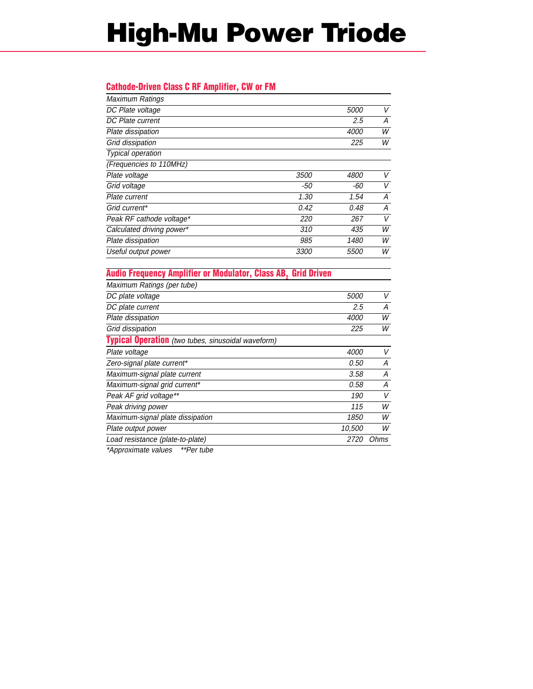# **High-Mu Power Triode**

#### **Cathode-Driven Class C RF Amplifier, CW or FM**

| Maximum Ratings           |             |             |   |
|---------------------------|-------------|-------------|---|
| DC Plate voltage          |             | <i>5000</i> | V |
| DC Plate current          |             | 2.5         | А |
| Plate dissipation         |             | 4000        | W |
| Grid dissipation          |             | 225         | W |
| Typical operation         |             |             |   |
| (Frequencies to 110MHz)   |             |             |   |
| Plate voltage             | 3500        | <i>4800</i> | V |
| Grid voltage              | -50         | -60         | V |
| Plate current             | 1.30        | 1.54        | А |
| Grid current*             | 0.42        | 0.48        | А |
| Peak RF cathode voltage*  | 220         | 267         | V |
| Calculated driving power* | 310         | 435         | W |
| Plate dissipation         | 985         | 1480        | W |
| Useful output power       | <i>3300</i> | <i>5500</i> | W |
|                           |             |             |   |

#### **Audio Frequency Amplifier or Modulator, Class AB, Grid Driven**

| Maximum Ratings (per tube)                                |             |      |
|-----------------------------------------------------------|-------------|------|
| DC plate voltage                                          | <i>5000</i> | V    |
| DC plate current                                          | 2.5         | А    |
| Plate dissipation                                         | <i>4000</i> | W    |
| Grid dissipation                                          | 225         | W    |
| <b>Typical Operation</b> (two tubes, sinusoidal waveform) |             |      |
| Plate voltage                                             | 4000        | V    |
| Zero-signal plate current*                                | 0.50        | А    |
| Maximum-signal plate current                              | 3.58        | А    |
| Maximum-signal grid current*                              | 0.58        | А    |
| Peak AF grid voltage**                                    | 190         | V    |
| Peak driving power                                        | 115         | W    |
| Maximum-signal plate dissipation                          | 1850        | W    |
| Plate output power                                        | 10,500      | W    |
| Load resistance (plate-to-plate)                          | <i>2720</i> | Ohms |
|                                                           |             |      |

\*Approximate values \*\*Per tube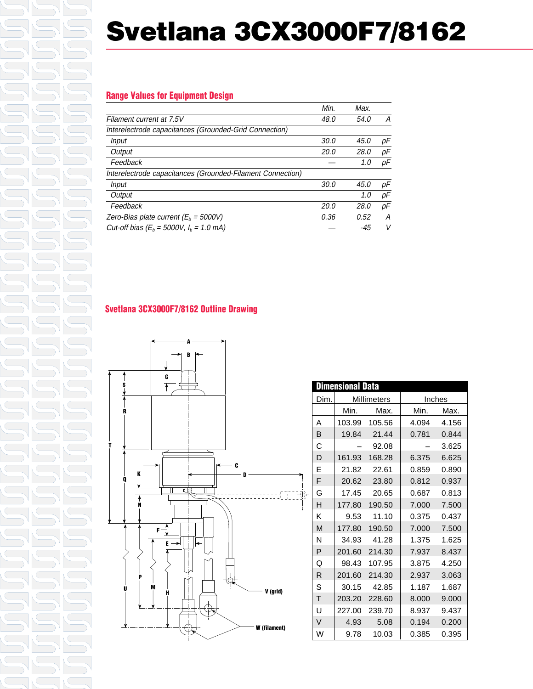# **Svetlana 3CX3000F7/8162**

### **Range Values for Equipment Design**

|                                                            | Min.        | Max. |    |
|------------------------------------------------------------|-------------|------|----|
| Filament current at 7.5V                                   | 48.0        | 54.0 | А  |
| Interelectrode capacitances (Grounded-Grid Connection)     |             |      |    |
| Input                                                      | 30.0        | 45.0 | рF |
| Output                                                     | <i>20.0</i> | 28.0 | рF |
| Feedback                                                   |             | 1.0  | pF |
| Interelectrode capacitances (Grounded-Filament Connection) |             |      |    |
| Input                                                      | 30.0        | 45.0 | рF |
| Output                                                     |             | 1.0  | рF |
| Feedback                                                   | 20.0        | 28.0 | рF |
| Zero-Bias plate current ( $E_h$ = 5000V)                   | 0.36        | 0.52 | A  |
| Cut-off bias ( $E_b = 5000V$ , $I_b = 1.0$ mA)             |             | -45  | V  |

### **Svetlana 3CX3000F7/8162 Outline Drawing**



|        | Dimensional Data |               |       |        |
|--------|------------------|---------------|-------|--------|
| Dim.   | Millimeters      |               |       | Inches |
|        | Min.             | Max.          | Min.  | Max.   |
| Α      |                  | 103.99 105.56 | 4.094 | 4.156  |
| В      |                  | 19.84 21.44   | 0.781 | 0.844  |
| С      |                  | 92.08         |       | 3.625  |
| D      |                  | 161.93 168.28 | 6.375 | 6.625  |
| E      |                  | 21.82 22.61   | 0.859 | 0.890  |
| F      |                  | 20.62 23.80   | 0.812 | 0.937  |
| G      |                  | 17.45 20.65   | 0.687 | 0.813  |
| н      | 177.80           | 190.50        | 7.000 | 7.500  |
| Κ      | 9.53             | 11.10         | 0.375 | 0.437  |
| M      | 177.80           | 190.50        | 7.000 | 7.500  |
| N      |                  | 34.93 41.28   | 1.375 | 1.625  |
| P      | 201.60           | 214.30        | 7.937 | 8.437  |
| Q      |                  | 98.43 107.95  | 3.875 | 4.250  |
| R      | 201.60           | 214.30        | 2.937 | 3.063  |
| S      |                  | 30.15 42.85   | 1.187 | 1.687  |
| T      | 203.20           | 228.60        | 8.000 | 9.000  |
| U      | 227.00           | 239.70        | 8.937 | 9.437  |
| $\vee$ | 4.93             | 5.08          | 0.194 | 0.200  |
| W      | 9.78             | 10.03         | 0.385 | 0.395  |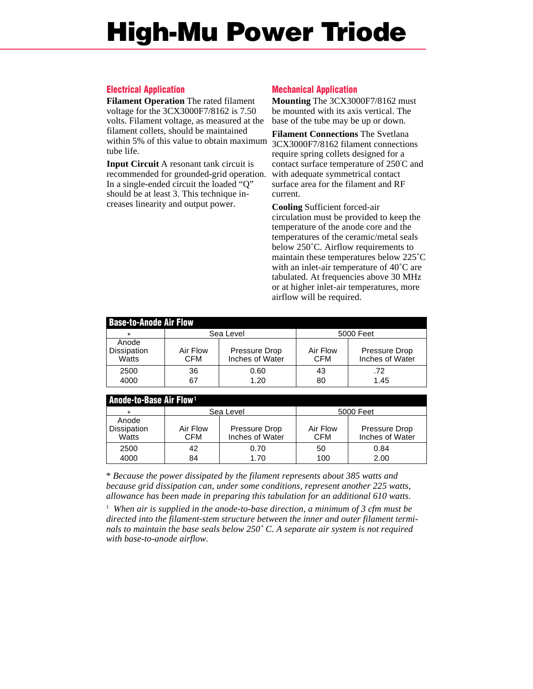### **High-Mu Power Triode**

#### **Electrical Application**

**Filament Operation** The rated filament voltage for the 3CX3000F7/8162 is 7.50 volts. Filament voltage, as measured at the filament collets, should be maintained within 5% of this value to obtain maximum 3CX3000F7/8162 filament connections tube life.

**Input Circuit** A resonant tank circuit is recommended for grounded-grid operation. In a single-ended circuit the loaded "Q" should be at least 3. This technique increases linearity and output power.

#### **Mechanical Application**

**Mounting** The 3CX3000F7/8162 must be mounted with its axis vertical. The base of the tube may be up or down.

**Filament Connections** The Svetlana require spring collets designed for a contact surface temperature of 250˚ C and with adequate symmetrical contact surface area for the filament and RF current.

**Cooling** Sufficient forced-air circulation must be provided to keep the temperature of the anode core and the temperatures of the ceramic/metal seals below 250˚C. Airflow requirements to maintain these temperatures below 225˚C with an inlet-air temperature of 40˚C are tabulated. At frequencies above 30 MHz or at higher inlet-air temperatures, more airflow will be required.

| <b>Base-to-Anode Air Flow</b> |                 |                                  |                 |                                  |  |
|-------------------------------|-----------------|----------------------------------|-----------------|----------------------------------|--|
| $\star$                       |                 | Sea Level                        | 5000 Feet       |                                  |  |
| Anode<br>Dissipation<br>Watts | Air Flow<br>CFM | Pressure Drop<br>Inches of Water | Air Flow<br>CFM | Pressure Drop<br>Inches of Water |  |
| 2500<br>4000                  | 36<br>67        | 0.60<br>1.20                     | 43<br>80        | .72<br>1.45                      |  |

| l Anode-to-Base Air Flow <sup>1</sup> |                        |                                  |                        |                                  |  |
|---------------------------------------|------------------------|----------------------------------|------------------------|----------------------------------|--|
| $\star$                               | Sea Level              |                                  | 5000 Feet              |                                  |  |
| Anode                                 |                        |                                  |                        |                                  |  |
| <b>Dissipation</b><br>Watts           | Air Flow<br><b>CFM</b> | Pressure Drop<br>Inches of Water | Air Flow<br><b>CFM</b> | Pressure Drop<br>Inches of Water |  |
| 2500                                  | 42                     | 0.70                             | 50                     | 0.84                             |  |
| 4000                                  | 84                     | 1.70                             | 100                    | 2.00                             |  |

\* *Because the power dissipated by the filament represents about 385 watts and because grid dissipation can, under some conditions, represent another 225 watts, allowance has been made in preparing this tabulation for an additional 610 watts.*

<sup>1</sup> When air is supplied in the anode-to-base direction, a minimum of 3 cfm must be *directed into the filament-stem structure between the inner and outer filament terminals to maintain the base seals below 250˚ C. A separate air system is not required with base-to-anode airflow.*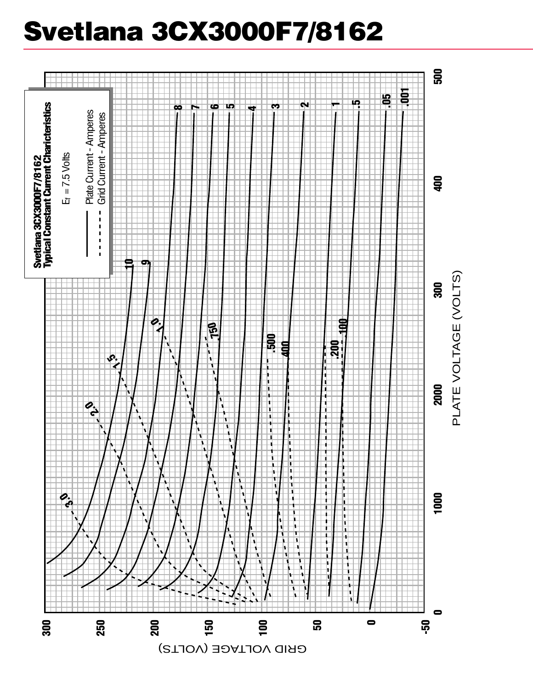# **Svetlana 3CX3000F7/8162**